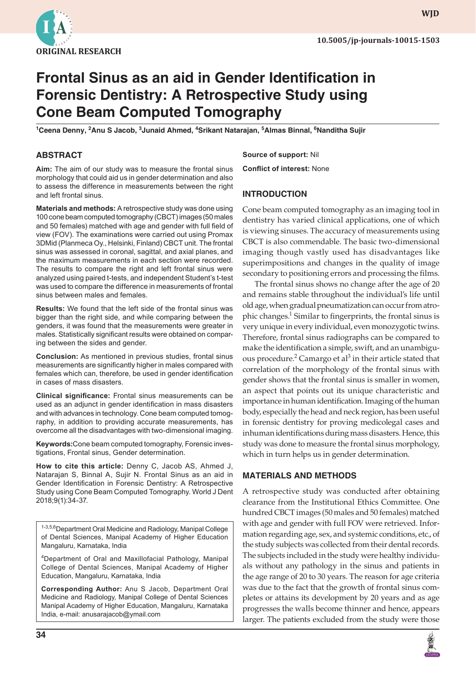

**wjd**

# **Frontal Sinus as an aid in Gender Identification in Forensic Dentistry: A Retrospective Study using Cone Beam Computed Tomography**

**1 Ceena Denny, <sup>2</sup> Anu S Jacob, <sup>3</sup> Junaid Ahmed, <sup>4</sup> Srikant Natarajan, <sup>5</sup> Almas Binnal, <sup>6</sup> Nanditha Sujir** 

#### **ABSTRACT**

**Aim:** The aim of our study was to measure the frontal sinus morphology that could aid us in gender determination and also to assess the difference in measurements between the right and left frontal sinus.

**Materials and methods:** A retrospective study was done using 100 cone beam computed tomography (CBCT) images (50 males and 50 females) matched with age and gender with full field of view (FOV). The examinations were carried out using Promax 3DMid (Planmeca Oy., Helsinki, Finland) CBCT unit. The frontal sinus was assessed in coronal, sagittal, and axial planes, and the maximum measurements in each section were recorded. The results to compare the right and left frontal sinus were analyzed using paired t-tests, and independent Student's t-test was used to compare the difference in measurements of frontal sinus between males and females.

**Results:** We found that the left side of the frontal sinus was bigger than the right side, and while comparing between the genders, it was found that the measurements were greater in males. Statistically significant results were obtained on comparing between the sides and gender.

**Conclusion:** As mentioned in previous studies, frontal sinus measurements are significantly higher in males compared with females which can, therefore, be used in gender identification in cases of mass disasters.

**Clinical significance:** Frontal sinus measurements can be used as an adjunct in gender identification in mass disasters and with advances in technology. Cone beam computed tomography, in addition to providing accurate measurements, has overcome all the disadvantages with two-dimensional imaging.

**Keywords:**Cone beam computed tomography, Forensic investigations, Frontal sinus, Gender determination.

**How to cite this article:** Denny C, Jacob AS, Ahmed J, Natarajan S, Binnal A, Sujir N. Frontal Sinus as an aid in Gender Identification in Forensic Dentistry: A Retrospective Study using Cone Beam Computed Tomography. World J Dent 2018;9(1):34-37.

<sup>1-3,5,6</sup>Department Oral Medicine and Radiology, Manipal College of Dental Sciences, Manipal Academy of Higher Education Mangaluru, Karnataka, India

<sup>4</sup>Department of Oral and Maxillofacial Pathology, Manipal College of Dental Sciences, Manipal Academy of Higher Education, Mangaluru, Karnataka, India

**Corresponding Author:** Anu S Jacob, Department Oral Medicine and Radiology, Manipal College of Dental Sciences Manipal Academy of Higher Education, Mangaluru, Karnataka India, e-mail: anusarajacob@ymail.com

**Source of support:** Nil **Conflict of interest:** None

#### **INTRODUCTION**

Cone beam computed tomography as an imaging tool in dentistry has varied clinical applications, one of which is viewing sinuses. The accuracy of measurements using CBCT is also commendable. The basic two-dimensional imaging though vastly used has disadvantages like superimpositions and changes in the quality of image secondary to positioning errors and processing the films.

The frontal sinus shows no change after the age of 20 and remains stable throughout the individual's life until old age, when gradual pneumatization can occur from atrophic changes.<sup>1</sup> Similar to fingerprints, the frontal sinus is very unique in every individual, even monozygotic twins. Therefore, frontal sinus radiographs can be compared to make the identification a simple, swift, and an unambiguous procedure.<sup>2</sup> Camargo et al<sup>3</sup> in their article stated that correlation of the morphology of the frontal sinus with gender shows that the frontal sinus is smaller in women, an aspect that points out its unique characteristic and importance in human identification. Imaging of the human body, especially the head and neck region, has been useful in forensic dentistry for proving medicolegal cases and inhuman identifications during mass disasters. Hence, this study was done to measure the frontal sinus morphology, which in turn helps us in gender determination.

#### **MATERIALS AND METHODS**

A retrospective study was conducted after obtaining clearance from the Institutional Ethics Committee. One hundred CBCT images (50 males and 50 females) matched with age and gender with full FOV were retrieved. Information regarding age, sex, and systemic conditions, etc., of the study subjects was collected from their dental records. The subjects included in the study were healthy individuals without any pathology in the sinus and patients in the age range of 20 to 30 years. The reason for age criteria was due to the fact that the growth of frontal sinus completes or attains its development by 20 years and as age progresses the walls become thinner and hence, appears larger. The patients excluded from the study were those

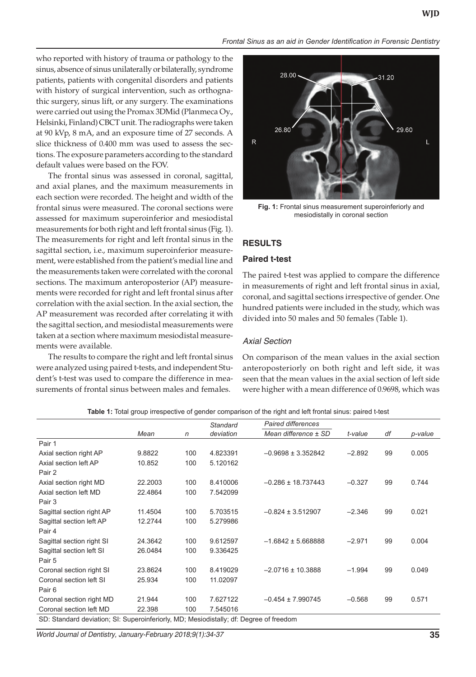*Frontal Sinus as an aid in Gender Identification in Forensic Dentistry*

who reported with history of trauma or pathology to the sinus, absence of sinus unilaterally or bilaterally, syndrome patients, patients with congenital disorders and patients with history of surgical intervention, such as orthognathic surgery, sinus lift, or any surgery. The examinations were carried out using the Promax 3DMid (Planmeca Oy., Helsinki, Finland) CBCT unit. The radiographs were taken at 90 kVp, 8 mA, and an exposure time of 27 seconds. A slice thickness of 0.400 mm was used to assess the sections. The exposure parameters according to the standard default values were based on the FOV.

The frontal sinus was assessed in coronal, sagittal, and axial planes, and the maximum measurements in each section were recorded. The height and width of the frontal sinus were measured. The coronal sections were assessed for maximum superoinferior and mesiodistal measurements for both right and left frontal sinus (Fig. 1). The measurements for right and left frontal sinus in the sagittal section, i.e., maximum superoinferior measurement, were established from the patient's medial line and the measurements taken were correlated with the coronal sections. The maximum anteroposterior (AP) measurements were recorded for right and left frontal sinus after correlation with the axial section. In the axial section, the AP measurement was recorded after correlating it with the sagittal section, and mesiodistal measurements were taken at a section where maximum mesiodistal measurements were available.

The results to compare the right and left frontal sinus were analyzed using paired t-tests, and independent Student's t-test was used to compare the difference in measurements of frontal sinus between males and females.



**Fig. 1:** Frontal sinus measurement superoinferiorly and mesiodistally in coronal section

#### **RESULTS**

#### **Paired t-test**

The paired t-test was applied to compare the difference in measurements of right and left frontal sinus in axial, coronal, and sagittal sections irrespective of gender. One hundred patients were included in the study, which was divided into 50 males and 50 females (Table 1).

#### *Axial Section*

On comparison of the mean values in the axial section anteroposteriorly on both right and left side, it was seen that the mean values in the axial section of left side were higher with a mean difference of 0.9698, which was

|                                                                                        |         |     | Standard  | <b>Paired differences</b> |          |    |         |  |
|----------------------------------------------------------------------------------------|---------|-----|-----------|---------------------------|----------|----|---------|--|
|                                                                                        | Mean    | n   | deviation | Mean difference ± SD      | t-value  | df | p-value |  |
| Pair 1                                                                                 |         |     |           |                           |          |    |         |  |
| Axial section right AP                                                                 | 9.8822  | 100 | 4.823391  | $-0.9698 \pm 3.352842$    | $-2.892$ | 99 | 0.005   |  |
| Axial section left AP                                                                  | 10.852  | 100 | 5.120162  |                           |          |    |         |  |
| Pair 2                                                                                 |         |     |           |                           |          |    |         |  |
| Axial section right MD                                                                 | 22.2003 | 100 | 8.410006  | $-0.286 \pm 18.737443$    | $-0.327$ | 99 | 0.744   |  |
| Axial section left MD                                                                  | 22.4864 | 100 | 7.542099  |                           |          |    |         |  |
| Pair 3                                                                                 |         |     |           |                           |          |    |         |  |
| Sagittal section right AP                                                              | 11.4504 | 100 | 5.703515  | $-0.824 \pm 3.512907$     | $-2.346$ | 99 | 0.021   |  |
| Sagittal section left AP                                                               | 12.2744 | 100 | 5.279986  |                           |          |    |         |  |
| Pair 4                                                                                 |         |     |           |                           |          |    |         |  |
| Sagittal section right SI                                                              | 24.3642 | 100 | 9.612597  | $-1.6842 \pm 5.668888$    | $-2.971$ | 99 | 0.004   |  |
| Sagittal section left SI                                                               | 26.0484 | 100 | 9.336425  |                           |          |    |         |  |
| Pair 5                                                                                 |         |     |           |                           |          |    |         |  |
| Coronal section right SI                                                               | 23.8624 | 100 | 8.419029  | $-2.0716 \pm 10.3888$     | $-1.994$ | 99 | 0.049   |  |
| Coronal section left SI                                                                | 25.934  | 100 | 11.02097  |                           |          |    |         |  |
| Pair 6                                                                                 |         |     |           |                           |          |    |         |  |
| Coronal section right MD                                                               | 21.944  | 100 | 7.627122  | $-0.454 \pm 7.990745$     | $-0.568$ | 99 | 0.571   |  |
| Coronal section left MD                                                                | 22.398  | 100 | 7.545016  |                           |          |    |         |  |
| SD: Standard deviation; SI: Superoinferiorly, MD; Mesiodistally; df: Degree of freedom |         |     |           |                           |          |    |         |  |

**Table 1:** Total group irrespective of gender comparison of the right and left frontal sinus: paired t-test

*World Journal of Dentistry, January-February 2018;9(1):34-37* **35**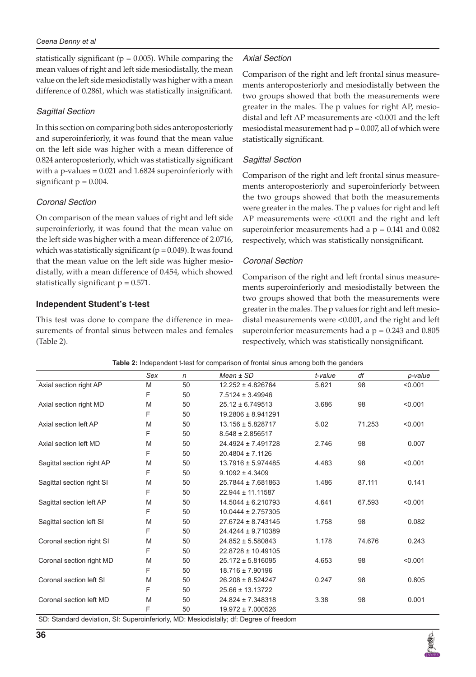statistically significant ( $p = 0.005$ ). While comparing the mean values of right and left side mesiodistally, the mean value on the left side mesiodistally was higher with a mean difference of 0.2861, which was statistically insignificant.

#### *Sagittal Section*

In this section on comparing both sides anteroposteriorly and superoinferiorly, it was found that the mean value on the left side was higher with a mean difference of 0.824 anteroposteriorly, which was statistically significant with a p-values = 0.021 and 1.6824 superoinferiorly with significant  $p = 0.004$ .

#### *Coronal Section*

On comparison of the mean values of right and left side superoinferiorly, it was found that the mean value on the left side was higher with a mean difference of 2.0716, which was statistically significant ( $p = 0.049$ ). It was found that the mean value on the left side was higher mesiodistally, with a mean difference of 0.454, which showed statistically significant  $p = 0.571$ .

#### **Independent Student's t-test**

This test was done to compare the difference in measurements of frontal sinus between males and females (Table 2).

## *Axial Section*

Comparison of the right and left frontal sinus measurements anteroposteriorly and mesiodistally between the two groups showed that both the measurements were greater in the males. The p values for right AP, mesiodistal and left AP measurements are <0.001 and the left mesiodistal measurement had  $p = 0.007$ , all of which were statistically significant.

## *Sagittal Section*

Comparison of the right and left frontal sinus measurements anteroposteriorly and superoinferiorly between the two groups showed that both the measurements were greater in the males. The p values for right and left AP measurements were <0.001 and the right and left superoinferior measurements had a  $p = 0.141$  and  $0.082$ respectively, which was statistically nonsignificant.

#### *Coronal Section*

Comparison of the right and left frontal sinus measurements superoinferiorly and mesiodistally between the two groups showed that both the measurements were greater in the males. The p values for right and left mesiodistal measurements were <0.001, and the right and left superoinferior measurements had a  $p = 0.243$  and  $0.805$ respectively, which was statistically nonsignificant.

| Table 2: Independent t-test for comparison of frontal sinus among both the genders |     |              |                        |         |        |         |  |
|------------------------------------------------------------------------------------|-----|--------------|------------------------|---------|--------|---------|--|
|                                                                                    | Sex | $\mathsf{n}$ | $Mean \pm SD$          | t-value | df     | p-value |  |
| Axial section right AP                                                             | M   | 50           | 12.252 ± 4.826764      | 5.621   | 98     | < 0.001 |  |
|                                                                                    | F   | 50           | $7.5124 \pm 3.49946$   |         |        |         |  |
| Axial section right MD                                                             | M   | 50           | $25.12 \pm 6.749513$   | 3.686   | 98     | < 0.001 |  |
|                                                                                    | F   | 50           | 19.2806 ± 8.941291     |         |        |         |  |
| Axial section left AP                                                              | M   | 50           | 13.156 ± 5.828717      | 5.02    | 71.253 | < 0.001 |  |
|                                                                                    | F   | 50           | $8.548 \pm 2.856517$   |         |        |         |  |
| Axial section left MD                                                              | M   | 50           | 24.4924 ± 7.491728     | 2.746   | 98     | 0.007   |  |
|                                                                                    | F   | 50           | $20.4804 \pm 7.1126$   |         |        |         |  |
| Sagittal section right AP                                                          | M   | 50           | $13.7916 \pm 5.974485$ | 4.483   | 98     | < 0.001 |  |
|                                                                                    | F   | 50           | $9.1092 \pm 4.3409$    |         |        |         |  |
| Sagittal section right SI                                                          | M   | 50           | 25.7844 ± 7.681863     | 1.486   | 87.111 | 0.141   |  |
|                                                                                    | F   | 50           | 22.944 ± 11.11587      |         |        |         |  |
| Sagittal section left AP                                                           | M   | 50           | 14.5044 ± 6.210793     | 4.641   | 67.593 | < 0.001 |  |
|                                                                                    | F   | 50           | $10.0444 \pm 2.757305$ |         |        |         |  |
| Sagittal section left SI                                                           | M   | 50           | $27.6724 \pm 8.743145$ | 1.758   | 98     | 0.082   |  |
|                                                                                    | F   | 50           | 24.4244 ± 9.710389     |         |        |         |  |
| Coronal section right SI                                                           | M   | 50           | $24.852 \pm 5.580843$  | 1.178   | 74.676 | 0.243   |  |
|                                                                                    | F   | 50           | 22.8728 ± 10.49105     |         |        |         |  |
| Coronal section right MD                                                           | M   | 50           | $25.172 \pm 5.816095$  | 4.653   | 98     | < 0.001 |  |
|                                                                                    | F   | 50           | 18.716 ± 7.90196       |         |        |         |  |
| Coronal section left SI                                                            | M   | 50           | $26.208 \pm 8.524247$  | 0.247   | 98     | 0.805   |  |
|                                                                                    | F   | 50           | 25.66 ± 13.13722       |         |        |         |  |
| Coronal section left MD                                                            | M   | 50           | 24.824 ± 7.348318      | 3.38    | 98     | 0.001   |  |
|                                                                                    | F   | 50           | 19.972 ± 7.000526      |         |        |         |  |

SD: Standard deviation, SI: Superoinferiorly, MD: Mesiodistally; df: Degree of freedom